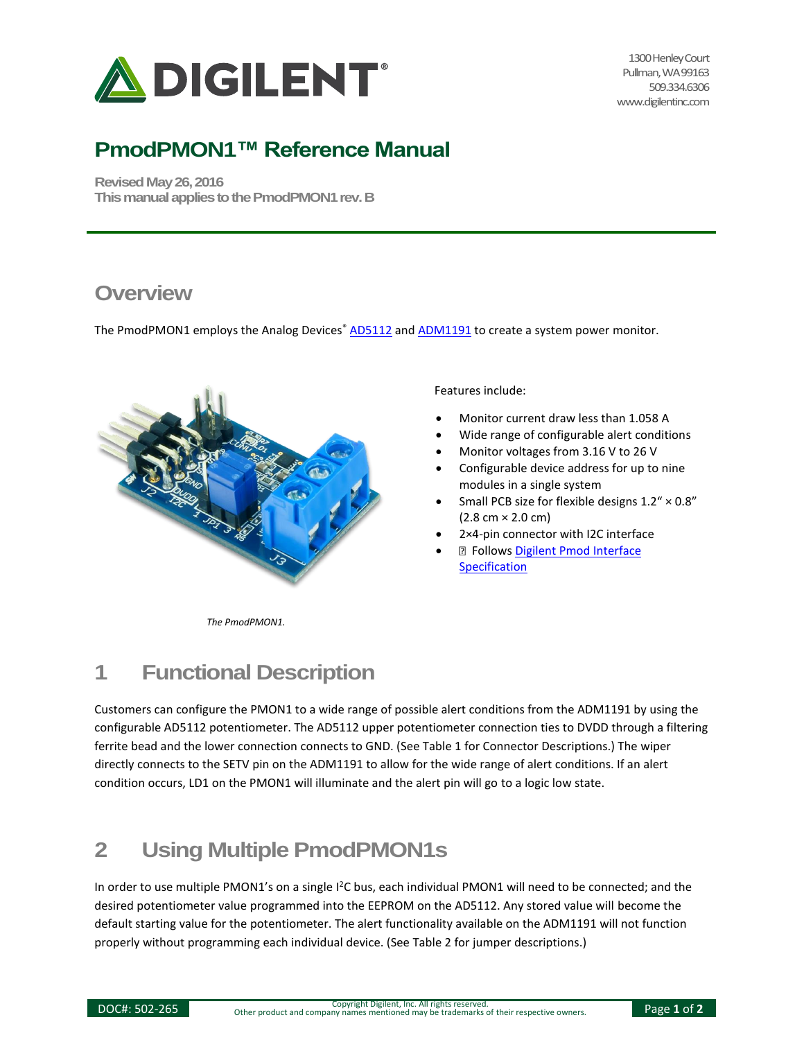

1300 Henley Court Pullman, WA 99163 509.334.6306 www.digilentinc.com

## **PmodPMON1™ Reference Manual**

**Revised May 26, 2016 This manual applies to the PmodPMON1 rev. B** 

#### **Overview**

The PmodPMON1 employs the Analog Devices<sup>®</sup> [AD5112](http://www.analog.com/AD5112) an[d ADM1191](http://www.analog.com/ADM1191) to create a system power monitor.



Features include:

- Monitor current draw less than 1.058 A
- Wide range of configurable alert conditions
- Monitor voltages from 3.16 V to 26 V
- Configurable device address for up to nine modules in a single system
- Small PCB size for flexible designs 1.2" × 0.8"  $(2.8 \, \text{cm} \times 2.0 \, \text{cm})$
- 2×4-pin connector with I2C interface
- **D** Follows Digilent Pmod Interface **[Specification](https://www.digilentinc.com/Pmods/Digilent-Pmod_%20Interface_Specification.pdf)**

*The PmodPMON1.*

# **1 Functional Description**

Customers can configure the PMON1 to a wide range of possible alert conditions from the ADM1191 by using the configurable AD5112 potentiometer. The AD5112 upper potentiometer connection ties to DVDD through a filtering ferrite bead and the lower connection connects to GND. (See Table 1 for Connector Descriptions.) The wiper directly connects to the SETV pin on the ADM1191 to allow for the wide range of alert conditions. If an alert condition occurs, LD1 on the PMON1 will illuminate and the alert pin will go to a logic low state.

## **2 Using Multiple PmodPMON1s**

In order to use multiple PMON1's on a single I<sup>2</sup>C bus, each individual PMON1 will need to be connected; and the desired potentiometer value programmed into the EEPROM on the AD5112. Any stored value will become the default starting value for the potentiometer. The alert functionality available on the ADM1191 will not function properly without programming each individual device. (See Table 2 for jumper descriptions.)